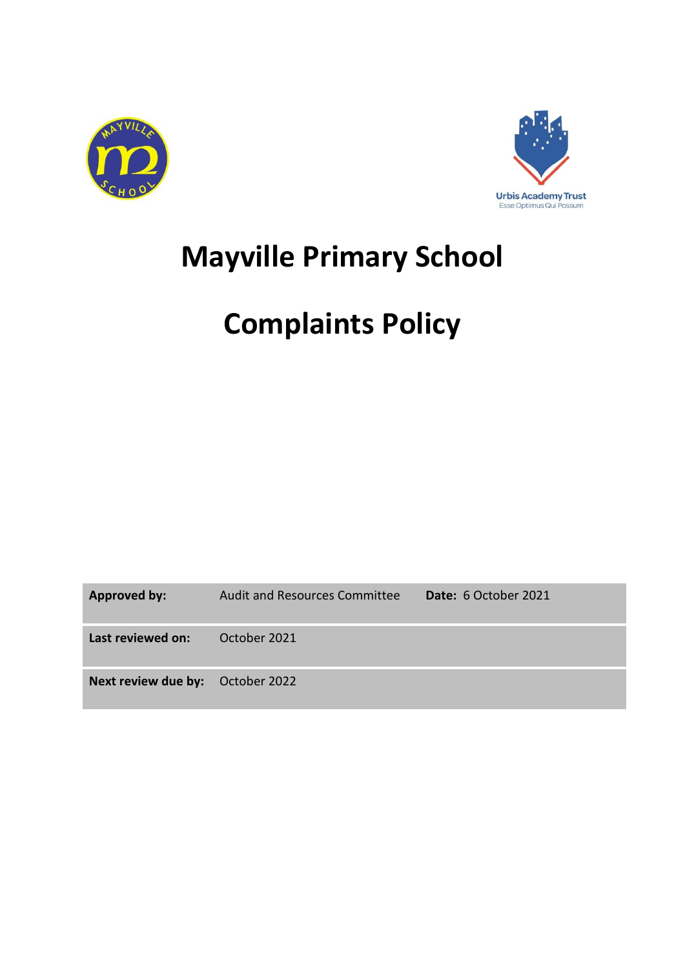



# **Mayville Primary School**

# **Complaints Policy**

**Approved by:** Audit and Resources Committee **Date:** 6 October 2021

**Last reviewed on:** October 2021

**Next review due by:** October 2022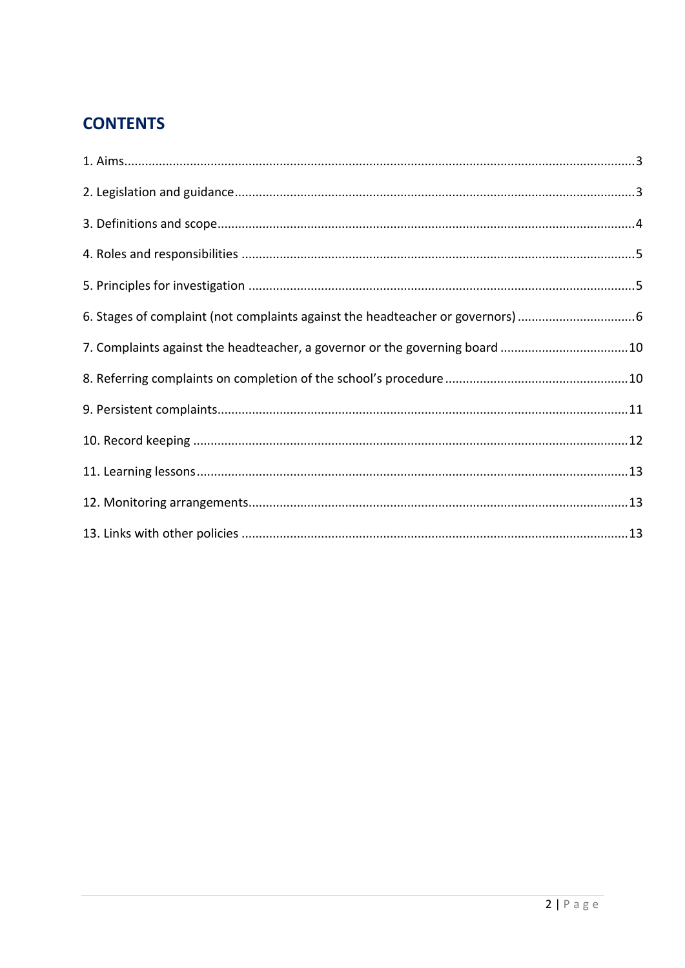# **CONTENTS**

| 6. Stages of complaint (not complaints against the headteacher or governors) |  |
|------------------------------------------------------------------------------|--|
| 7. Complaints against the headteacher, a governor or the governing board 10  |  |
|                                                                              |  |
|                                                                              |  |
|                                                                              |  |
|                                                                              |  |
|                                                                              |  |
|                                                                              |  |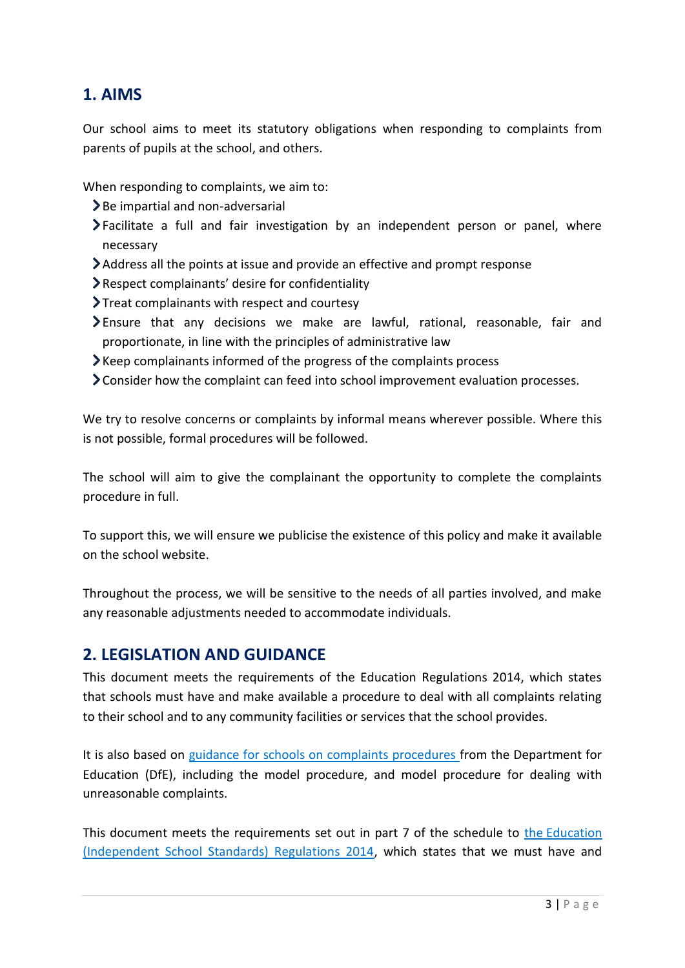## <span id="page-2-0"></span>**1. AIMS**

Our school aims to meet its statutory obligations when responding to complaints from parents of pupils at the school, and others.

When responding to complaints, we aim to:

- $\geq$  Be impartial and non-adversarial
- Facilitate a full and fair investigation by an independent person or panel, where necessary
- Address all the points at issue and provide an effective and prompt response
- Respect complainants' desire for confidentiality
- Treat complainants with respect and courtesy
- Ensure that any decisions we make are lawful, rational, reasonable, fair and proportionate, in line with the principles of administrative law
- Keep complainants informed of the progress of the complaints process
- Consider how the complaint can feed into school improvement evaluation processes.

We try to resolve concerns or complaints by informal means wherever possible. Where this is not possible, formal procedures will be followed.

The school will aim to give the complainant the opportunity to complete the complaints procedure in full.

To support this, we will ensure we publicise the existence of this policy and make it available on the school website.

Throughout the process, we will be sensitive to the needs of all parties involved, and make any reasonable adjustments needed to accommodate individuals.

### <span id="page-2-1"></span>**2. LEGISLATION AND GUIDANCE**

This document meets the requirements of the Education Regulations 2014, which states that schools must have and make available a procedure to deal with all complaints relating to their school and to any community facilities or services that the school provides.

It is also based on [guidance for schools on complaints procedures](https://www.gov.uk/government/publications/school-complaints-procedures) from the Department for Education (DfE), including the model procedure, and model procedure for dealing with unreasonable complaints.

This document meets the requirements set out in part 7 of the schedule to the [Education](http://www.legislation.gov.uk/uksi/2014/3283/schedule/made)  [\(Independent School Standards\) Regulations 2014,](http://www.legislation.gov.uk/uksi/2014/3283/schedule/made) which states that we must have and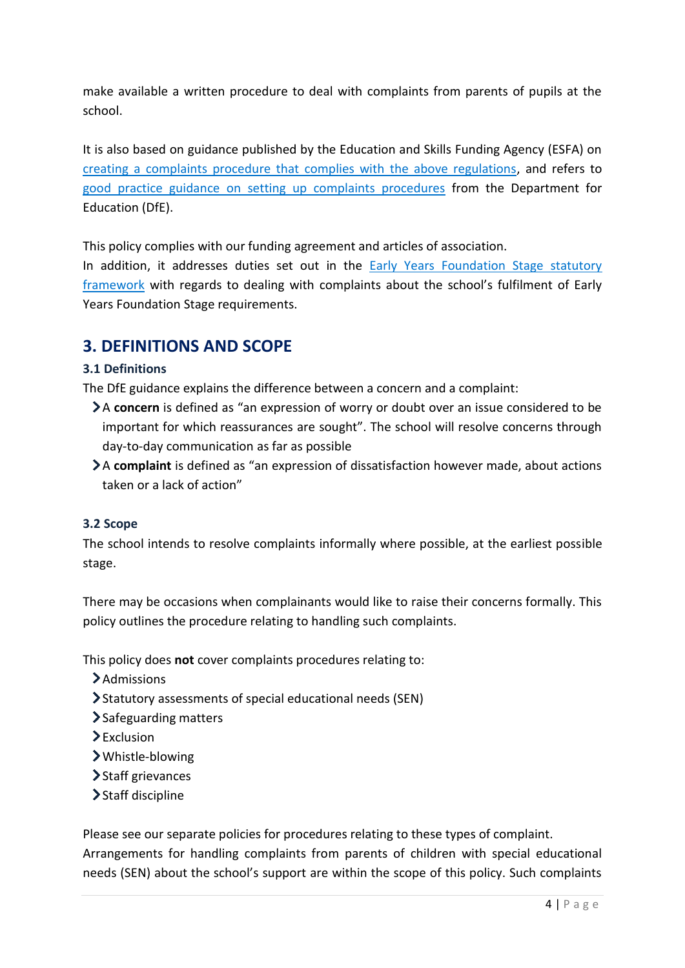make available a written procedure to deal with complaints from parents of pupils at the school.

It is also based on guidance published by the Education and Skills Funding Agency (ESFA) on [creating a complaints procedure that complies with the above regulations,](https://www.gov.uk/government/publications/setting-up-an-academies-complaints-procedure) and refers to good practice guidance [on setting up complaints procedures](https://www.gov.uk/government/publications/school-complaints-procedures) from the Department for Education (DfE).

This policy complies with our funding agreement and articles of association.

In addition, it addresses duties set out in the [Early Years Foundation Stage statutory](https://www.gov.uk/government/publications/early-years-foundation-stage-framework--2)  [framework](https://www.gov.uk/government/publications/early-years-foundation-stage-framework--2) with regards to dealing with complaints about the school's fulfilment of Early Years Foundation Stage requirements.

## <span id="page-3-0"></span>**3. DEFINITIONS AND SCOPE**

#### **3.1 Definitions**

The DfE guidance explains the difference between a concern and a complaint:

- A **concern** is defined as "an expression of worry or doubt over an issue considered to be important for which reassurances are sought". The school will resolve concerns through day-to-day communication as far as possible
- A **complaint** is defined as "an expression of dissatisfaction however made, about actions taken or a lack of action"

#### **3.2 Scope**

The school intends to resolve complaints informally where possible, at the earliest possible stage.

There may be occasions when complainants would like to raise their concerns formally. This policy outlines the procedure relating to handling such complaints.

This policy does **not** cover complaints procedures relating to:

- >Admissions
- Statutory assessments of special educational needs (SEN)
- > Safeguarding matters
- Exclusion
- Whistle-blowing
- > Staff grievances
- Staff discipline

Please see our separate policies for procedures relating to these types of complaint. Arrangements for handling complaints from parents of children with special educational needs (SEN) about the school's support are within the scope of this policy. Such complaints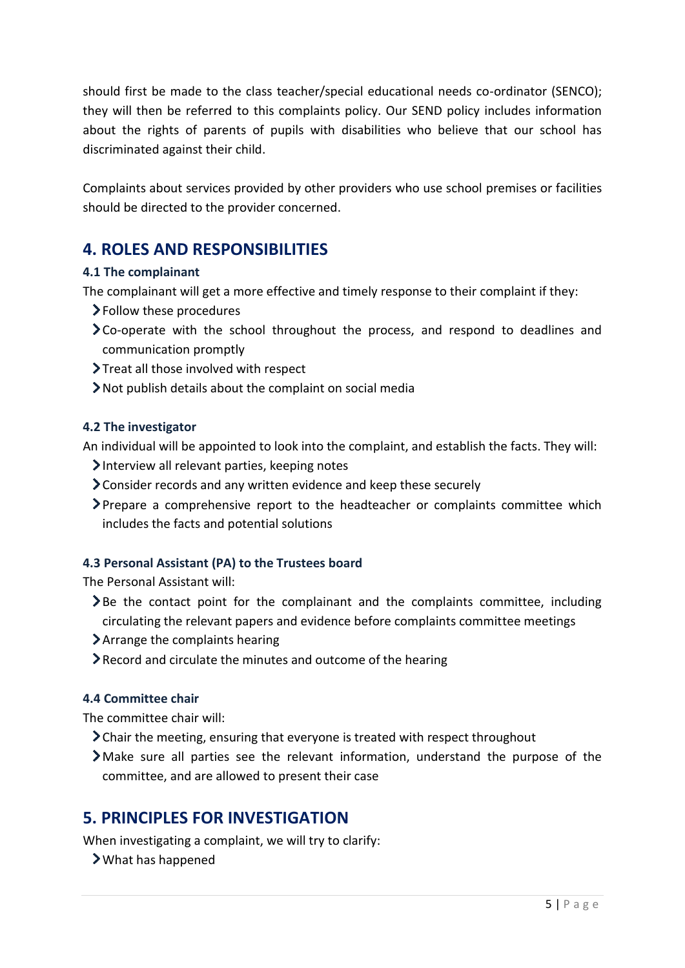should first be made to the class teacher/special educational needs co-ordinator (SENCO); they will then be referred to this complaints policy. Our SEND policy includes information about the rights of parents of pupils with disabilities who believe that our school has discriminated against their child.

Complaints about services provided by other providers who use school premises or facilities should be directed to the provider concerned.

## <span id="page-4-0"></span>**4. ROLES AND RESPONSIBILITIES**

#### **4.1 The complainant**

The complainant will get a more effective and timely response to their complaint if they:

- Follow these procedures
- Co-operate with the school throughout the process, and respond to deadlines and communication promptly
- >Treat all those involved with respect
- Not publish details about the complaint on social media

#### **4.2 The investigator**

An individual will be appointed to look into the complaint, and establish the facts. They will:

- $\blacktriangleright$  Interview all relevant parties, keeping notes
- Consider records and any written evidence and keep these securely
- Prepare a comprehensive report to the headteacher or complaints committee which includes the facts and potential solutions

#### **4.3 Personal Assistant (PA) to the Trustees board**

The Personal Assistant will:

- $\blacktriangleright$  Be the contact point for the complainant and the complaints committee, including circulating the relevant papers and evidence before complaints committee meetings
- Arrange the complaints hearing
- Record and circulate the minutes and outcome of the hearing

#### **4.4 Committee chair**

The committee chair will:

- Chair the meeting, ensuring that everyone is treated with respect throughout
- Make sure all parties see the relevant information, understand the purpose of the committee, and are allowed to present their case

### <span id="page-4-1"></span>**5. PRINCIPLES FOR INVESTIGATION**

When investigating a complaint, we will try to clarify:

What has happened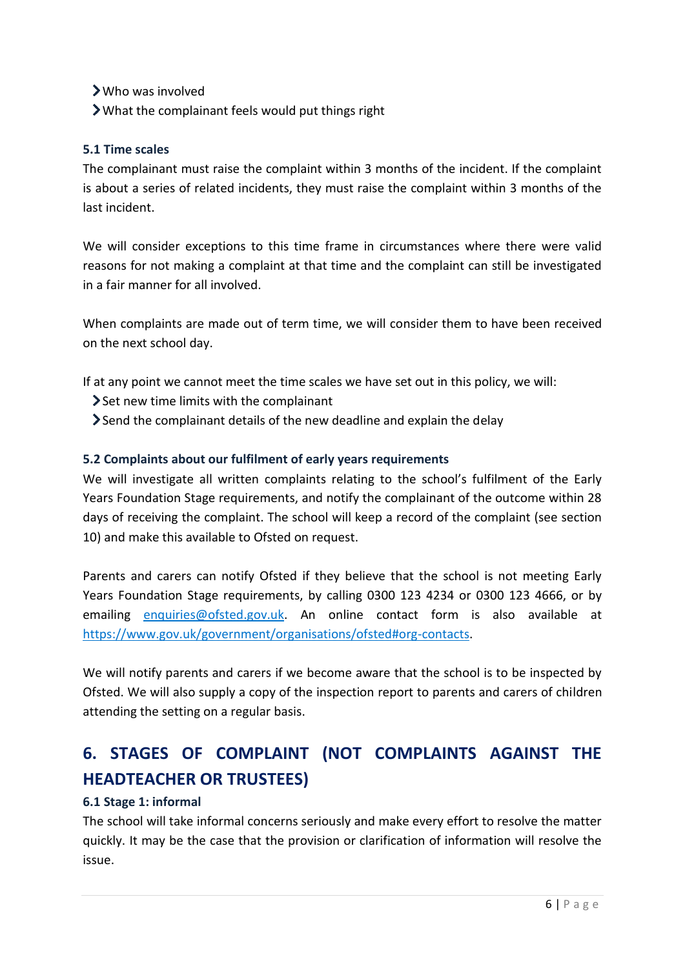#### Who was involved

What the complainant feels would put things right

#### **5.1 Time scales**

The complainant must raise the complaint within 3 months of the incident. If the complaint is about a series of related incidents, they must raise the complaint within 3 months of the last incident.

We will consider exceptions to this time frame in circumstances where there were valid reasons for not making a complaint at that time and the complaint can still be investigated in a fair manner for all involved.

When complaints are made out of term time, we will consider them to have been received on the next school day.

If at any point we cannot meet the time scales we have set out in this policy, we will:

- $\sum$  Set new time limits with the complainant
- Send the complainant details of the new deadline and explain the delay

#### **5.2 Complaints about our fulfilment of early years requirements**

We will investigate all written complaints relating to the school's fulfilment of the Early Years Foundation Stage requirements, and notify the complainant of the outcome within 28 days of receiving the complaint. The school will keep a record of the complaint (see section 10) and make this available to Ofsted on request.

Parents and carers can notify Ofsted if they believe that the school is not meeting Early Years Foundation Stage requirements, by calling 0300 123 4234 or 0300 123 4666, or by emailing [enquiries@ofsted.gov.uk.](mailto:enquiries@ofsted.gov.uk) An online contact form is also available at [https://www.gov.uk/government/organisations/ofsted#org-contacts.](https://www.gov.uk/government/organisations/ofsted#org-contacts)

We will notify parents and carers if we become aware that the school is to be inspected by Ofsted. We will also supply a copy of the inspection report to parents and carers of children attending the setting on a regular basis.

# <span id="page-5-0"></span>**6. STAGES OF COMPLAINT (NOT COMPLAINTS AGAINST THE HEADTEACHER OR TRUSTEES)**

#### **6.1 Stage 1: informal**

The school will take informal concerns seriously and make every effort to resolve the matter quickly. It may be the case that the provision or clarification of information will resolve the issue.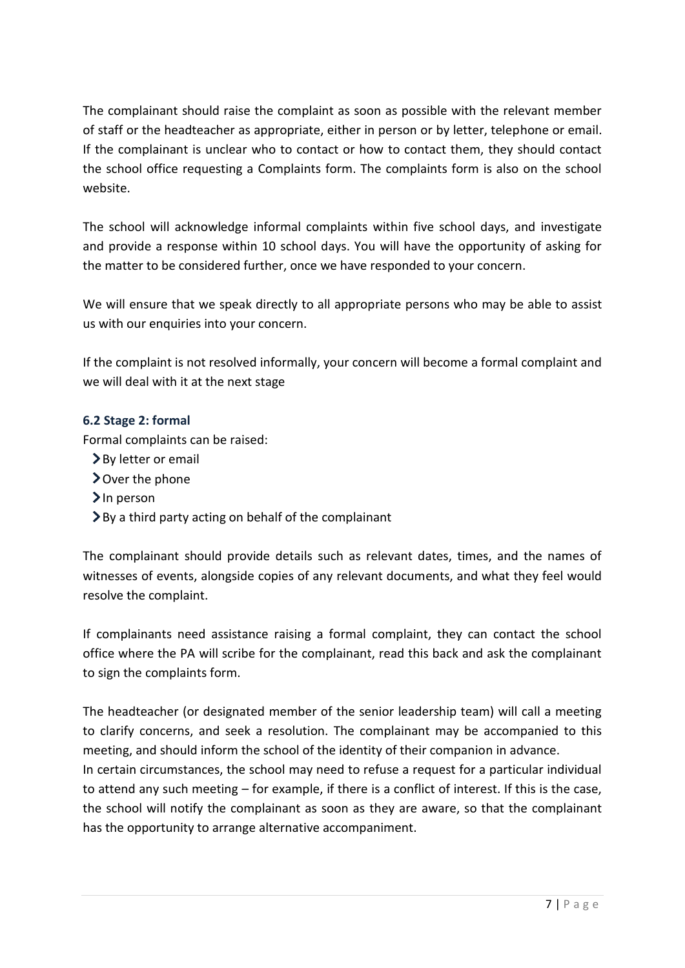The complainant should raise the complaint as soon as possible with the relevant member of staff or the headteacher as appropriate, either in person or by letter, telephone or email. If the complainant is unclear who to contact or how to contact them, they should contact the school office requesting a Complaints form. The complaints form is also on the school website.

The school will acknowledge informal complaints within five school days, and investigate and provide a response within 10 school days. You will have the opportunity of asking for the matter to be considered further, once we have responded to your concern.

We will ensure that we speak directly to all appropriate persons who may be able to assist us with our enquiries into your concern.

If the complaint is not resolved informally, your concern will become a formal complaint and we will deal with it at the next stage

#### **6.2 Stage 2: formal**

Formal complaints can be raised:

- > By letter or email
- **>**Over the phone
- >In person
- By a third party acting on behalf of the complainant

has the opportunity to arrange alternative accompaniment.

The complainant should provide details such as relevant dates, times, and the names of witnesses of events, alongside copies of any relevant documents, and what they feel would resolve the complaint.

If complainants need assistance raising a formal complaint, they can contact the school office where the PA will scribe for the complainant, read this back and ask the complainant to sign the complaints form.

The headteacher (or designated member of the senior leadership team) will call a meeting to clarify concerns, and seek a resolution. The complainant may be accompanied to this meeting, and should inform the school of the identity of their companion in advance. In certain circumstances, the school may need to refuse a request for a particular individual to attend any such meeting – for example, if there is a conflict of interest. If this is the case, the school will notify the complainant as soon as they are aware, so that the complainant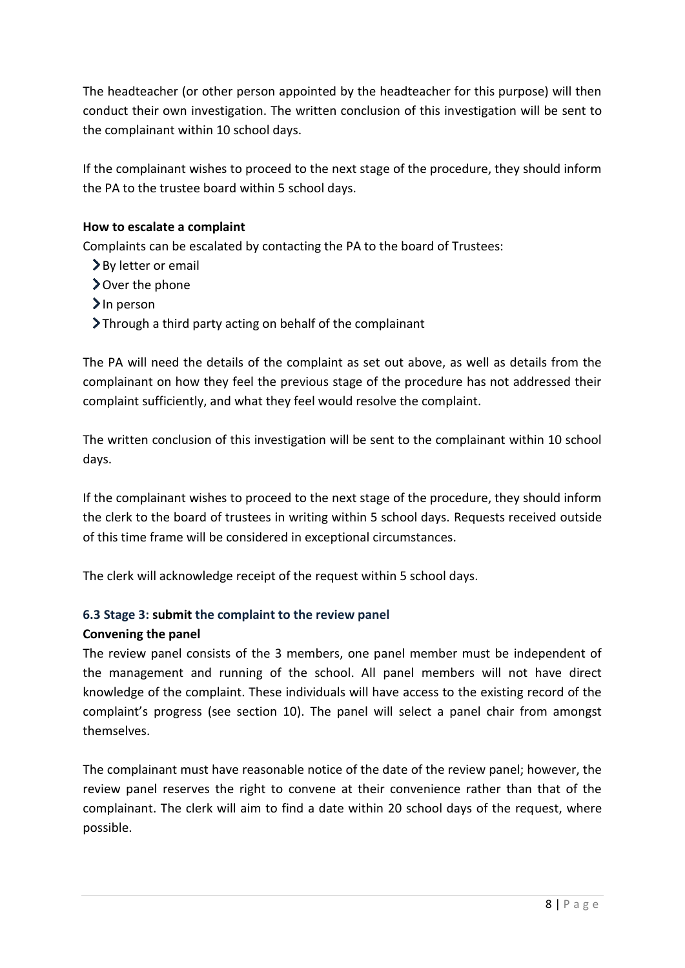The headteacher (or other person appointed by the headteacher for this purpose) will then conduct their own investigation. The written conclusion of this investigation will be sent to the complainant within 10 school days.

If the complainant wishes to proceed to the next stage of the procedure, they should inform the PA to the trustee board within 5 school days.

#### **How to escalate a complaint**

Complaints can be escalated by contacting the PA to the board of Trustees:

- > By letter or email
- Over the phone
- $\sum$ In person
- Through a third party acting on behalf of the complainant

The PA will need the details of the complaint as set out above, as well as details from the complainant on how they feel the previous stage of the procedure has not addressed their complaint sufficiently, and what they feel would resolve the complaint.

The written conclusion of this investigation will be sent to the complainant within 10 school days.

If the complainant wishes to proceed to the next stage of the procedure, they should inform the clerk to the board of trustees in writing within 5 school days. Requests received outside of this time frame will be considered in exceptional circumstances.

The clerk will acknowledge receipt of the request within 5 school days.

#### **6.3 Stage 3: submit the complaint to the review panel**

#### **Convening the panel**

The review panel consists of the 3 members, one panel member must be independent of the management and running of the school. All panel members will not have direct knowledge of the complaint. These individuals will have access to the existing record of the complaint's progress (see section 10). The panel will select a panel chair from amongst themselves.

The complainant must have reasonable notice of the date of the review panel; however, the review panel reserves the right to convene at their convenience rather than that of the complainant. The clerk will aim to find a date within 20 school days of the request, where possible.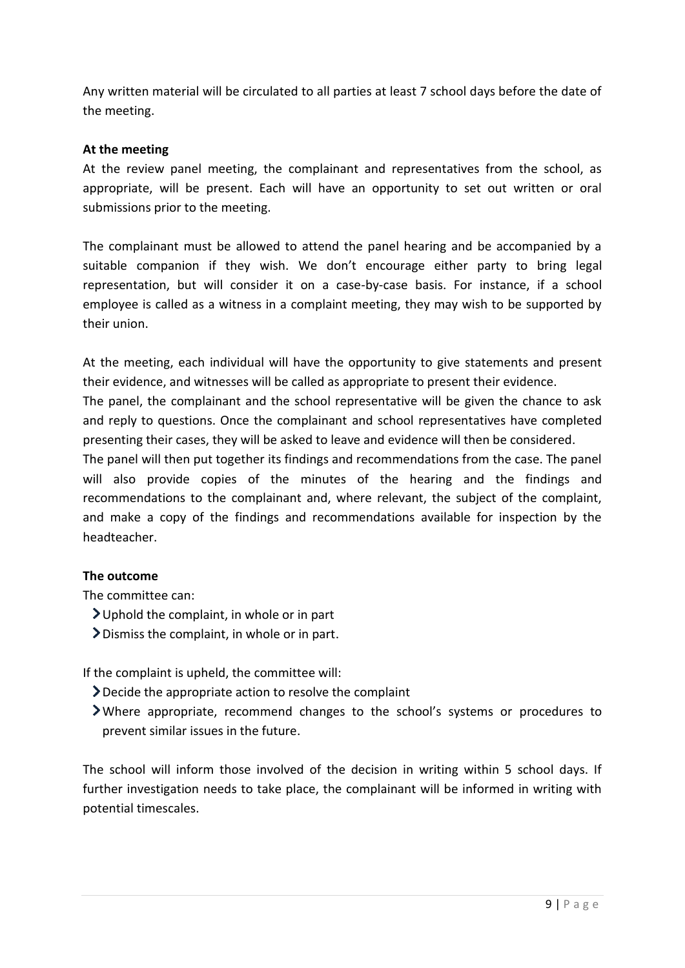Any written material will be circulated to all parties at least 7 school days before the date of the meeting.

#### **At the meeting**

At the review panel meeting, the complainant and representatives from the school, as appropriate, will be present. Each will have an opportunity to set out written or oral submissions prior to the meeting.

The complainant must be allowed to attend the panel hearing and be accompanied by a suitable companion if they wish. We don't encourage either party to bring legal representation, but will consider it on a case-by-case basis. For instance, if a school employee is called as a witness in a complaint meeting, they may wish to be supported by their union.

At the meeting, each individual will have the opportunity to give statements and present their evidence, and witnesses will be called as appropriate to present their evidence.

The panel, the complainant and the school representative will be given the chance to ask and reply to questions. Once the complainant and school representatives have completed presenting their cases, they will be asked to leave and evidence will then be considered.

The panel will then put together its findings and recommendations from the case. The panel will also provide copies of the minutes of the hearing and the findings and recommendations to the complainant and, where relevant, the subject of the complaint, and make a copy of the findings and recommendations available for inspection by the headteacher.

#### **The outcome**

The committee can:

- Uphold the complaint, in whole or in part
- Dismiss the complaint, in whole or in part.

If the complaint is upheld, the committee will:

- Decide the appropriate action to resolve the complaint
- Where appropriate, recommend changes to the school's systems or procedures to prevent similar issues in the future.

The school will inform those involved of the decision in writing within 5 school days. If further investigation needs to take place, the complainant will be informed in writing with potential timescales.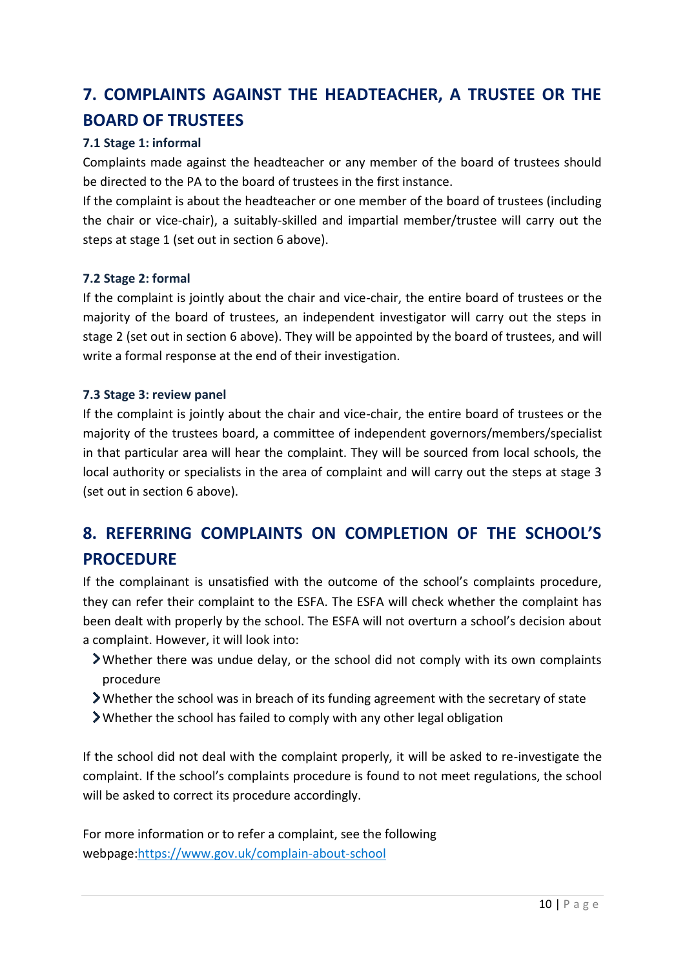# <span id="page-9-0"></span>**7. COMPLAINTS AGAINST THE HEADTEACHER, A TRUSTEE OR THE BOARD OF TRUSTEES**

#### **7.1 Stage 1: informal**

Complaints made against the headteacher or any member of the board of trustees should be directed to the PA to the board of trustees in the first instance.

If the complaint is about the headteacher or one member of the board of trustees (including the chair or vice-chair), a suitably-skilled and impartial member/trustee will carry out the steps at stage 1 (set out in section 6 above).

#### **7.2 Stage 2: formal**

If the complaint is jointly about the chair and vice-chair, the entire board of trustees or the majority of the board of trustees, an independent investigator will carry out the steps in stage 2 (set out in section 6 above). They will be appointed by the board of trustees, and will write a formal response at the end of their investigation.

#### **7.3 Stage 3: review panel**

If the complaint is jointly about the chair and vice-chair, the entire board of trustees or the majority of the trustees board, a committee of independent governors/members/specialist in that particular area will hear the complaint. They will be sourced from local schools, the local authority or specialists in the area of complaint and will carry out the steps at stage 3 (set out in section 6 above).

# <span id="page-9-1"></span>**8. REFERRING COMPLAINTS ON COMPLETION OF THE SCHOOL'S PROCEDURE**

If the complainant is unsatisfied with the outcome of the school's complaints procedure, they can refer their complaint to the ESFA. The ESFA will check whether the complaint has been dealt with properly by the school. The ESFA will not overturn a school's decision about a complaint. However, it will look into:

- Whether there was undue delay, or the school did not comply with its own complaints procedure
- $\triangleright$  Whether the school was in breach of its funding agreement with the secretary of state
- Whether the school has failed to comply with any other legal obligation

If the school did not deal with the complaint properly, it will be asked to re-investigate the complaint. If the school's complaints procedure is found to not meet regulations, the school will be asked to correct its procedure accordingly.

For more information or to refer a complaint, see the following webpage[:https://www.gov.uk/complain-about-school](https://www.gov.uk/complain-about-school)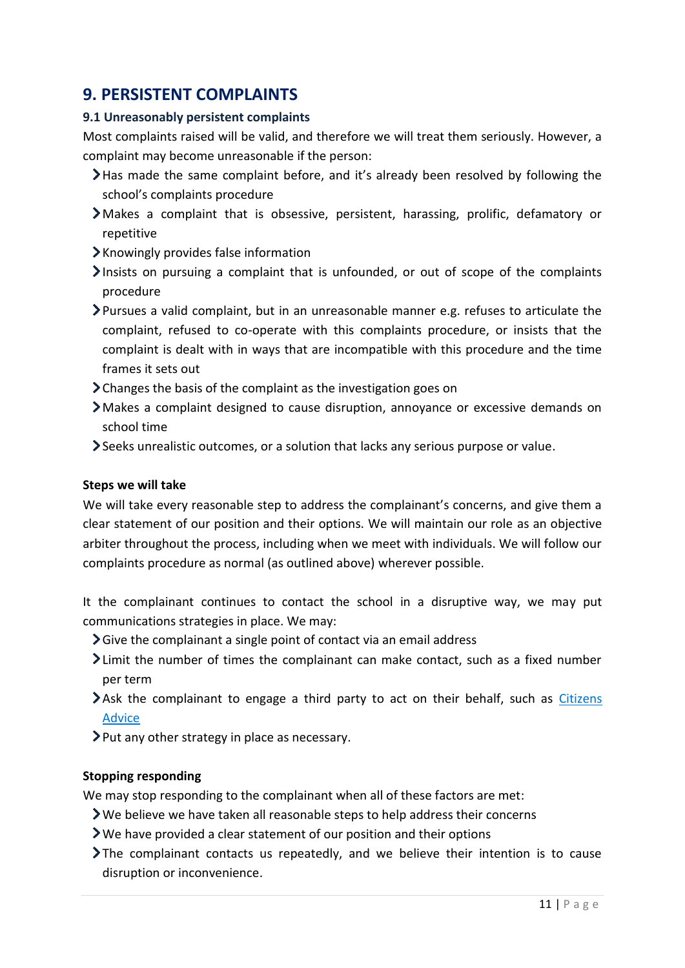## <span id="page-10-0"></span>**9. PERSISTENT COMPLAINTS**

#### **9.1 Unreasonably persistent complaints**

Most complaints raised will be valid, and therefore we will treat them seriously. However, a complaint may become unreasonable if the person:

- Has made the same complaint before, and it's already been resolved by following the school's complaints procedure
- Makes a complaint that is obsessive, persistent, harassing, prolific, defamatory or repetitive
- Knowingly provides false information
- $\sum$ Insists on pursuing a complaint that is unfounded, or out of scope of the complaints procedure
- Pursues a valid complaint, but in an unreasonable manner e.g. refuses to articulate the complaint, refused to co-operate with this complaints procedure, or insists that the complaint is dealt with in ways that are incompatible with this procedure and the time frames it sets out
- Changes the basis of the complaint as the investigation goes on
- Makes a complaint designed to cause disruption, annoyance or excessive demands on school time
- Seeks unrealistic outcomes, or a solution that lacks any serious purpose or value.

#### **Steps we will take**

We will take every reasonable step to address the complainant's concerns, and give them a clear statement of our position and their options. We will maintain our role as an objective arbiter throughout the process, including when we meet with individuals. We will follow our complaints procedure as normal (as outlined above) wherever possible.

It the complainant continues to contact the school in a disruptive way, we may put communications strategies in place. We may:

- $\sum$  Give the complainant a single point of contact via an email address
- Limit the number of times the complainant can make contact, such as a fixed number per term
- $\blacktriangleright$  Ask the complainant to engage a third party to act on their behalf, such as Citizens [Advice](https://www.citizensadvice.org.uk/)
- $\blacktriangleright$  Put any other strategy in place as necessary.

#### **Stopping responding**

We may stop responding to the complainant when all of these factors are met:

- We believe we have taken all reasonable steps to help address their concerns
- We have provided a clear statement of our position and their options
- The complainant contacts us repeatedly, and we believe their intention is to cause disruption or inconvenience.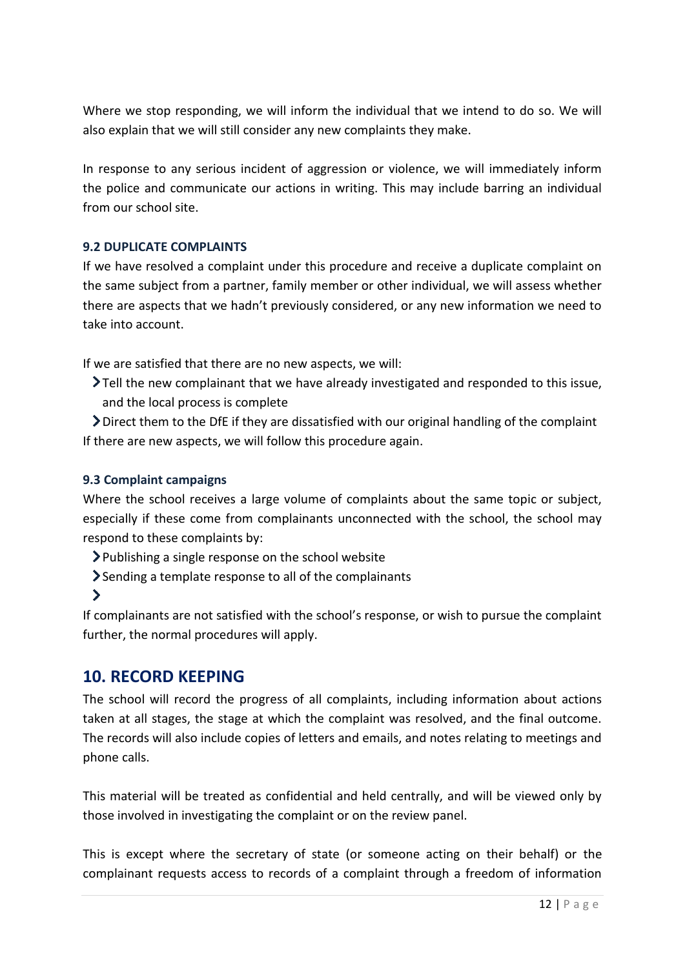Where we stop responding, we will inform the individual that we intend to do so. We will also explain that we will still consider any new complaints they make.

In response to any serious incident of aggression or violence, we will immediately inform the police and communicate our actions in writing. This may include barring an individual from our school site.

#### **9.2 DUPLICATE COMPLAINTS**

If we have resolved a complaint under this procedure and receive a duplicate complaint on the same subject from a partner, family member or other individual, we will assess whether there are aspects that we hadn't previously considered, or any new information we need to take into account.

If we are satisfied that there are no new aspects, we will:

Tell the new complainant that we have already investigated and responded to this issue, and the local process is complete

Direct them to the DfE if they are dissatisfied with our original handling of the complaint If there are new aspects, we will follow this procedure again.

#### **9.3 Complaint campaigns**

Where the school receives a large volume of complaints about the same topic or subject, especially if these come from complainants unconnected with the school, the school may respond to these complaints by:

Publishing a single response on the school website

- Sending a template response to all of the complainants
- $\blacktriangleright$

If complainants are not satisfied with the school's response, or wish to pursue the complaint further, the normal procedures will apply.

#### <span id="page-11-0"></span>**10. RECORD KEEPING**

The school will record the progress of all complaints, including information about actions taken at all stages, the stage at which the complaint was resolved, and the final outcome. The records will also include copies of letters and emails, and notes relating to meetings and phone calls.

This material will be treated as confidential and held centrally, and will be viewed only by those involved in investigating the complaint or on the review panel.

This is except where the secretary of state (or someone acting on their behalf) or the complainant requests access to records of a complaint through a freedom of information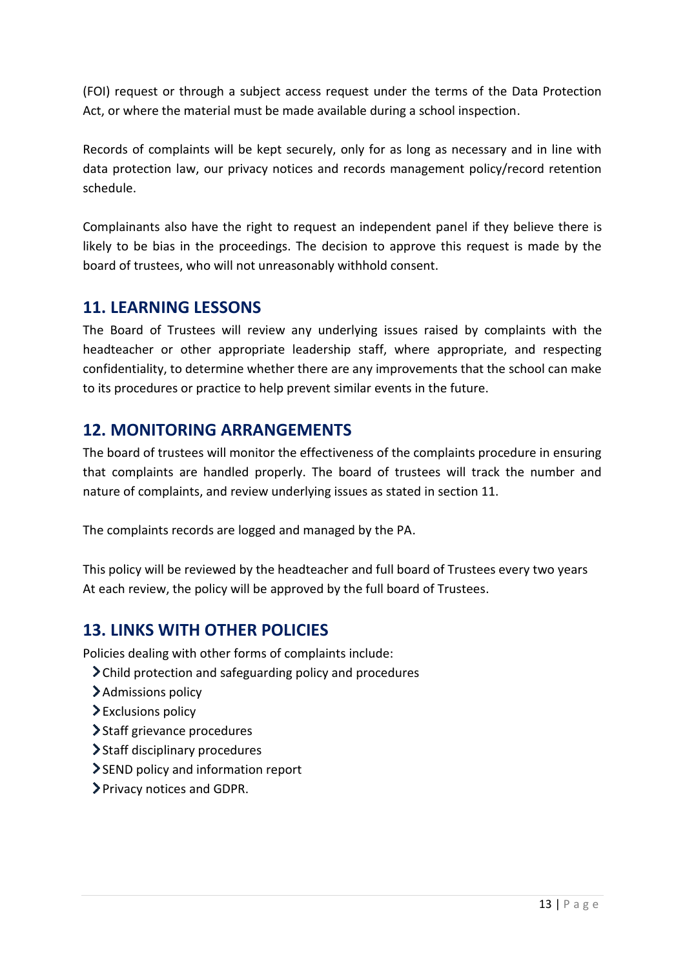(FOI) request or through a subject access request under the terms of the Data Protection Act, or where the material must be made available during a school inspection.

Records of complaints will be kept securely, only for as long as necessary and in line with data protection law, our privacy notices and records management policy/record retention schedule.

Complainants also have the right to request an independent panel if they believe there is likely to be bias in the proceedings. The decision to approve this request is made by the board of trustees, who will not unreasonably withhold consent.

## <span id="page-12-0"></span>**11. LEARNING LESSONS**

The Board of Trustees will review any underlying issues raised by complaints with the headteacher or other appropriate leadership staff, where appropriate, and respecting confidentiality, to determine whether there are any improvements that the school can make to its procedures or practice to help prevent similar events in the future.

## <span id="page-12-1"></span>**12. MONITORING ARRANGEMENTS**

The board of trustees will monitor the effectiveness of the complaints procedure in ensuring that complaints are handled properly. The board of trustees will track the number and nature of complaints, and review underlying issues as stated in section 11.

The complaints records are logged and managed by the PA.

This policy will be reviewed by the headteacher and full board of Trustees every two years At each review, the policy will be approved by the full board of Trustees.

## <span id="page-12-2"></span>**13. LINKS WITH OTHER POLICIES**

Policies dealing with other forms of complaints include:

- Child protection and safeguarding policy and procedures
- > Admissions policy
- $\blacktriangleright$  Exclusions policy
- > Staff grievance procedures
- Staff disciplinary procedures
- SEND policy and information report
- Privacy notices and GDPR.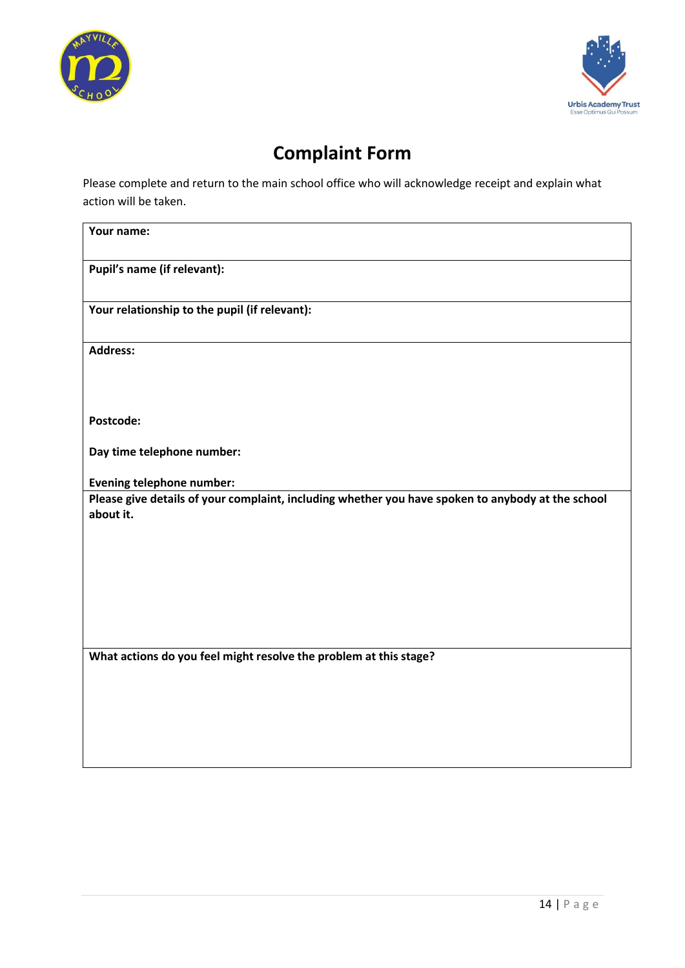



# **Complaint Form**

Please complete and return to the main school office who will acknowledge receipt and explain what action will be taken.

| Your name:                                                                                                                                                                          |
|-------------------------------------------------------------------------------------------------------------------------------------------------------------------------------------|
| Pupil's name (if relevant):                                                                                                                                                         |
| Your relationship to the pupil (if relevant):                                                                                                                                       |
| <b>Address:</b>                                                                                                                                                                     |
| Postcode:                                                                                                                                                                           |
| Day time telephone number:                                                                                                                                                          |
| <b>Evening telephone number:</b>                                                                                                                                                    |
| Please give details of your complaint, including whether you have spoken to anybody at the school<br>about it.<br>What actions do you feel might resolve the problem at this stage? |
|                                                                                                                                                                                     |
|                                                                                                                                                                                     |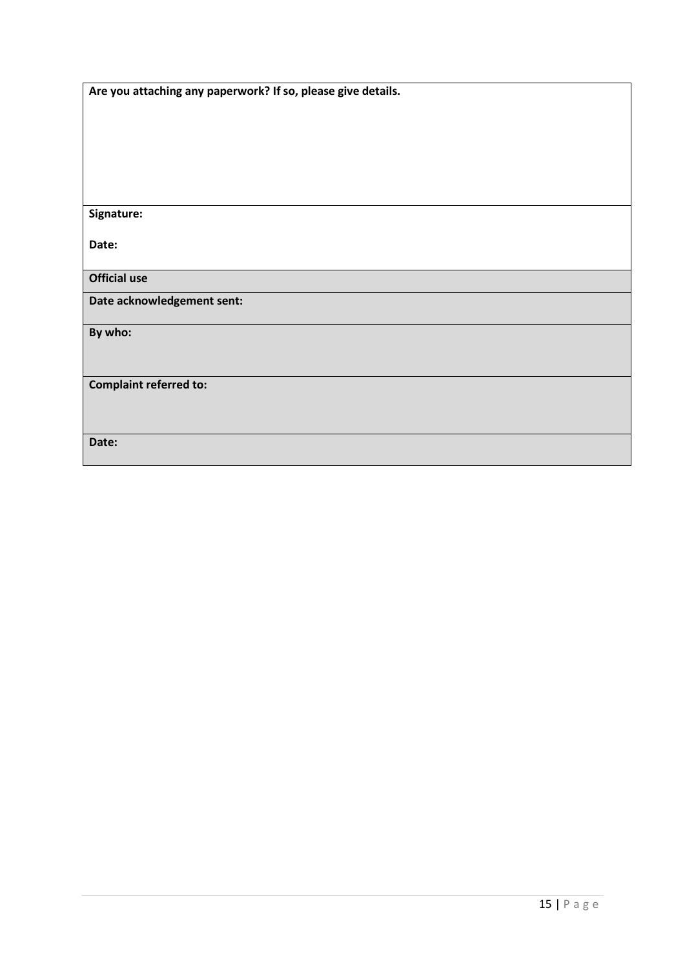| Are you attaching any paperwork? If so, please give details. |  |  |
|--------------------------------------------------------------|--|--|
|--------------------------------------------------------------|--|--|

**Signature:**

**Date:**

**Official use**

**Date acknowledgement sent:**

**By who:** 

**Complaint referred to:**

**Date:**